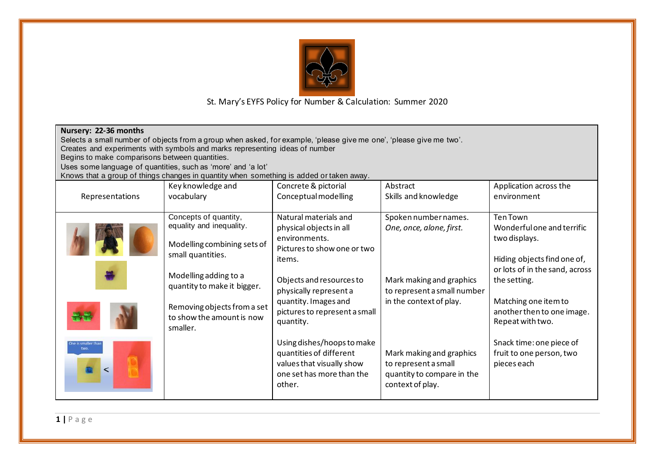

| Nursery: 22-36 months<br>Selects a small number of objects from a group when asked, for example, 'please give me one', 'please give me two'.<br>Creates and experiments with symbols and marks representing ideas of number<br>Begins to make comparisons between quantities.<br>Uses some language of quantities, such as 'more' and 'a lot'<br>Knows that a group of things changes in quantity when something is added or taken away. |                                                                                                                                                                                                                                       |                                                                                                                                                                                                                                        |                                                                                                                                        |                                                                                                                                                                                                                           |  |  |  |
|------------------------------------------------------------------------------------------------------------------------------------------------------------------------------------------------------------------------------------------------------------------------------------------------------------------------------------------------------------------------------------------------------------------------------------------|---------------------------------------------------------------------------------------------------------------------------------------------------------------------------------------------------------------------------------------|----------------------------------------------------------------------------------------------------------------------------------------------------------------------------------------------------------------------------------------|----------------------------------------------------------------------------------------------------------------------------------------|---------------------------------------------------------------------------------------------------------------------------------------------------------------------------------------------------------------------------|--|--|--|
| Representations                                                                                                                                                                                                                                                                                                                                                                                                                          | Key knowledge and<br>vocabulary                                                                                                                                                                                                       | Concrete & pictorial<br>Conceptual modelling                                                                                                                                                                                           | Abstract<br>Skills and knowledge                                                                                                       | Application across the<br>environment                                                                                                                                                                                     |  |  |  |
|                                                                                                                                                                                                                                                                                                                                                                                                                                          | Concepts of quantity,<br>equality and inequality.<br>Modelling combining sets of<br>small quantities.<br>Modelling adding to a<br>quantity to make it bigger.<br>Removing objects from a set<br>to show the amount is now<br>smaller. | Natural materials and<br>physical objects in all<br>environments.<br>Pictures to show one or two<br>items.<br>Objects and resources to<br>physically represent a<br>quantity. Images and<br>pictures to represent a small<br>quantity. | Spoken number names.<br>One, once, alone, first.<br>Mark making and graphics<br>to represent a small number<br>in the context of play. | <b>Ten Town</b><br>Wonderful one and terrific<br>two displays.<br>Hiding objects find one of,<br>or lots of in the sand, across<br>the setting.<br>Matching one item to<br>another then to one image.<br>Repeat with two. |  |  |  |
| ne is smaller tha<br>two.                                                                                                                                                                                                                                                                                                                                                                                                                |                                                                                                                                                                                                                                       | Using dishes/hoops to make<br>quantities of different<br>values that visually show<br>one set has more than the<br>other.                                                                                                              | Mark making and graphics<br>to represent a small<br>quantity to compare in the<br>context of play.                                     | Snack time: one piece of<br>fruit to one person, two<br>pieces each                                                                                                                                                       |  |  |  |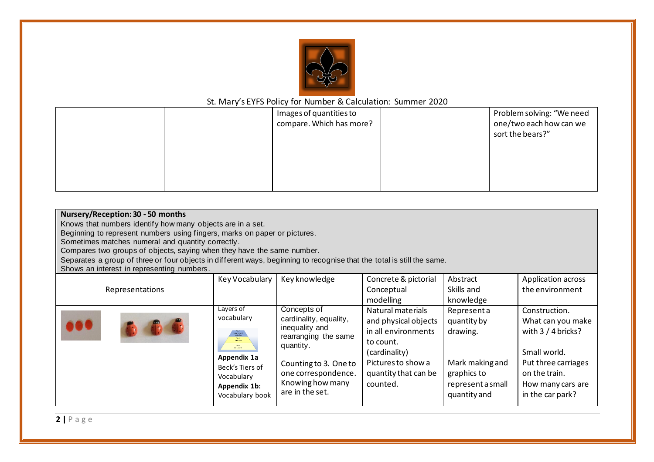

|  | Images of quantities to  | Problem solving: "We need |
|--|--------------------------|---------------------------|
|  | compare. Which has more? | one/two each how can we   |
|  |                          | sort the bears?"          |
|  |                          |                           |
|  |                          |                           |
|  |                          |                           |
|  |                          |                           |

| Nursery/Reception: 30 - 50 months<br>Knows that numbers identify how many objects are in a set.                                                                                                          |                                                                                                                                                                     |                                                                                                                                                                  |                                                                                                                                                          |                                                                                              |                                                                                                                                       |  |  |
|----------------------------------------------------------------------------------------------------------------------------------------------------------------------------------------------------------|---------------------------------------------------------------------------------------------------------------------------------------------------------------------|------------------------------------------------------------------------------------------------------------------------------------------------------------------|----------------------------------------------------------------------------------------------------------------------------------------------------------|----------------------------------------------------------------------------------------------|---------------------------------------------------------------------------------------------------------------------------------------|--|--|
| Beginning to represent numbers using fingers, marks on paper or pictures.<br>Sometimes matches numeral and quantity correctly.<br>Compares two groups of objects, saying when they have the same number. |                                                                                                                                                                     |                                                                                                                                                                  |                                                                                                                                                          |                                                                                              |                                                                                                                                       |  |  |
| Separates a group of three or four objects in different ways, beginning to recognise that the total is still the same.<br>Shows an interest in representing numbers.                                     |                                                                                                                                                                     |                                                                                                                                                                  |                                                                                                                                                          |                                                                                              |                                                                                                                                       |  |  |
|                                                                                                                                                                                                          | Key Vocabulary                                                                                                                                                      | Key knowledge                                                                                                                                                    | Concrete & pictorial                                                                                                                                     | Abstract                                                                                     | Application across                                                                                                                    |  |  |
| Representations                                                                                                                                                                                          |                                                                                                                                                                     |                                                                                                                                                                  | Conceptual                                                                                                                                               | Skills and                                                                                   | the environment                                                                                                                       |  |  |
|                                                                                                                                                                                                          |                                                                                                                                                                     |                                                                                                                                                                  | modelling                                                                                                                                                | knowledge                                                                                    |                                                                                                                                       |  |  |
|                                                                                                                                                                                                          | Layers of<br>vocabulary<br>Sitjon sperie<br>- wodolay<br>Tio 2<br>Senaryms<br>The Lines<br>Bancombi<br>Appendix 1a<br>Beck's Tiers of<br>Vocabulary<br>Appendix 1b: | Concepts of<br>cardinality, equality,<br>inequality and<br>rearranging the same<br>quantity.<br>Counting to 3. One to<br>one correspondence.<br>Knowing how many | Natural materials<br>and physical objects<br>in all environments<br>to count.<br>(cardinality)<br>Pictures to show a<br>quantity that can be<br>counted. | Representa<br>quantity by<br>drawing.<br>Mark making and<br>graphics to<br>represent a small | Construction.<br>What can you make<br>with $3/4$ bricks?<br>Small world.<br>Put three carriages<br>on the train.<br>How many cars are |  |  |
|                                                                                                                                                                                                          | Vocabulary book                                                                                                                                                     | are in the set.                                                                                                                                                  |                                                                                                                                                          | quantity and                                                                                 | in the car park?                                                                                                                      |  |  |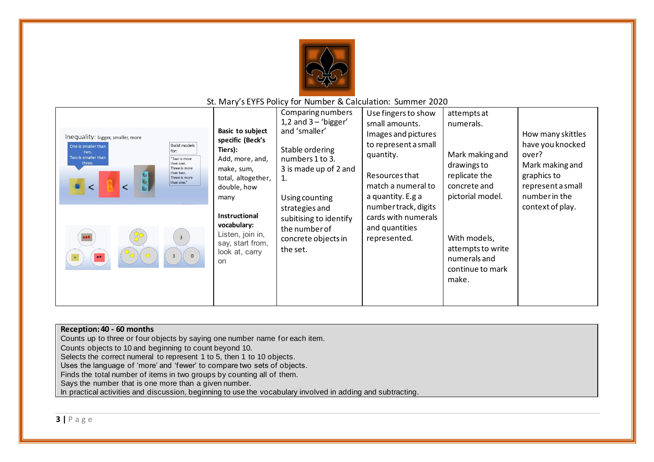

| Inequality: bigger, smaller, more<br><b>Build models</b><br>One is smaller than<br>for:<br>two.<br>Two is smaller than<br>"Two is more<br>three.<br>than one.<br>Three is more<br>than two.<br>Three is more<br>than one."<br>$\overline{3}$<br>on | Basic to subject<br>specific (Beck's<br>Tiers):<br>Add, more, and,<br>make, sum,<br>total, altogether,<br>double, how<br>many<br><b>Instructional</b><br>vocabulary:<br>Listen, join in,<br>say, start from,<br>look at, carry | Comparing numbers<br>1,2 and $3 - 'bigger'$<br>and 'smaller'<br>Stable ordering<br>numbers 1 to 3.<br>3 is made up of 2 and<br>1.<br>Using counting<br>strategies and<br>subitising to identify<br>the number of<br>concrete objects in<br>the set. | Use fingers to show<br>small amounts.<br>Images and pictures<br>to represent a small<br>quantity.<br>Resources that<br>match a numeral to<br>a quantity. E.g a<br>number track, digits<br>cards with numerals<br>and quantities<br>represented. | attempts at<br>numerals.<br>Mark making and<br>drawings to<br>replicate the<br>concrete and<br>pictorial model.<br>With models,<br>attempts to write<br>numerals and<br>continue to mark<br>make. | How many skittles<br>have you knocked<br>over?<br>Mark making and<br>graphics to<br>represent a small<br>number in the<br>context of play. |
|----------------------------------------------------------------------------------------------------------------------------------------------------------------------------------------------------------------------------------------------------|--------------------------------------------------------------------------------------------------------------------------------------------------------------------------------------------------------------------------------|-----------------------------------------------------------------------------------------------------------------------------------------------------------------------------------------------------------------------------------------------------|-------------------------------------------------------------------------------------------------------------------------------------------------------------------------------------------------------------------------------------------------|---------------------------------------------------------------------------------------------------------------------------------------------------------------------------------------------------|--------------------------------------------------------------------------------------------------------------------------------------------|
|----------------------------------------------------------------------------------------------------------------------------------------------------------------------------------------------------------------------------------------------------|--------------------------------------------------------------------------------------------------------------------------------------------------------------------------------------------------------------------------------|-----------------------------------------------------------------------------------------------------------------------------------------------------------------------------------------------------------------------------------------------------|-------------------------------------------------------------------------------------------------------------------------------------------------------------------------------------------------------------------------------------------------|---------------------------------------------------------------------------------------------------------------------------------------------------------------------------------------------------|--------------------------------------------------------------------------------------------------------------------------------------------|

| Reception: 40 - 60 months                                                                                   |
|-------------------------------------------------------------------------------------------------------------|
| Counts up to three or four objects by saying one number name for each item.                                 |
| Counts objects to 10 and beginning to count beyond 10.                                                      |
| Selects the correct numeral to represent 1 to 5, then 1 to 10 objects.                                      |
| Uses the language of 'more' and 'fewer' to compare two sets of objects.                                     |
| Finds the total number of items in two groups by counting all of them.                                      |
| Says the number that is one more than a given number.                                                       |
| In practical activities and discussion, beginning to use the vocabulary involved in adding and subtracting. |
|                                                                                                             |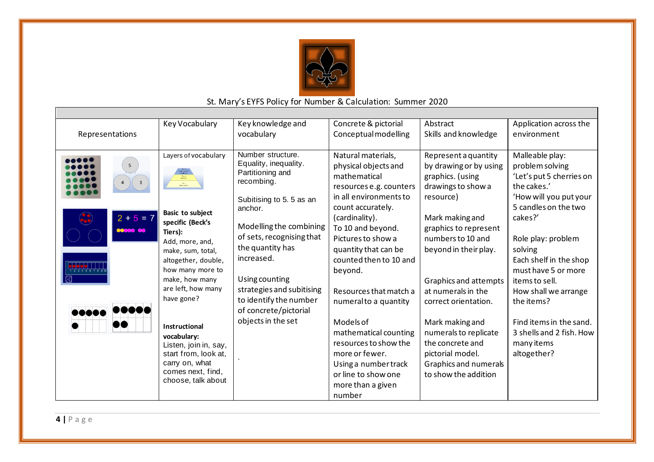

|                 | Key Vocabulary              | Key knowledge and         | Concrete & pictorial    | Abstract               | Application across the   |
|-----------------|-----------------------------|---------------------------|-------------------------|------------------------|--------------------------|
| Representations |                             | vocabulary                | Conceptual modelling    | Skills and knowledge   | environment              |
|                 |                             |                           |                         |                        |                          |
|                 | Layers of vocabulary        | Number structure.         | Natural materials,      | Represent a quantity   | Malleable play:          |
| 5 <sub>1</sub>  |                             | Equality, inequality.     | physical objects and    | by drawing or by using | problem solving          |
|                 |                             | Partitioning and          | mathematical            | graphics. (using       | 'Let's put 5 cherries on |
|                 |                             | recombing.                | resources e.g. counters | drawings to show a     | the cakes.'              |
|                 |                             | Subitising to 5.5 as an   | in all environments to  | resource)              | 'How will you put your   |
|                 |                             | anchor.                   | count accurately.       |                        | 5 candles on the two     |
| $2 + 5 = 7$     | <b>Basic to subject</b>     |                           | (cardinality).          | Mark making and        | cakes?'                  |
| 0000000         | specific (Beck's<br>Tiers): | Modelling the combining   | To 10 and beyond.       | graphics to represent  |                          |
|                 | Add, more, and,             | of sets, recognising that | Pictures to show a      | numbers to 10 and      | Role play: problem       |
|                 | make, sum, total,           | the quantity has          | quantity that can be    | beyond in their play.  | solving                  |
|                 | altogether, double,         | increased.                | counted then to 10 and  |                        | Each shelf in the shop   |
|                 | how many more to            |                           | beyond.                 |                        | must have 5 or more      |
|                 | make, how many              | Using counting            |                         | Graphics and attempts  | items to sell.           |
|                 | are left, how many          | strategies and subitising | Resources that match a  | at numerals in the     | How shall we arrange     |
|                 | have gone?                  | to identify the number    | numeral to a quantity   | correct orientation.   | the items?               |
|                 |                             | of concrete/pictorial     |                         |                        |                          |
|                 | <b>Instructional</b>        | objects in the set        | Models of               | Mark making and        | Find items in the sand.  |
|                 | vocabulary:                 |                           | mathematical counting   | numerals to replicate  | 3 shells and 2 fish. How |
|                 | Listen, join in, say,       |                           | resources to show the   | the concrete and       | many items               |
|                 | start from, look at,        |                           | more or fewer.          | pictorial model.       | altogether?              |
|                 | carry on, what              |                           | Using a number track    | Graphics and numerals  |                          |
|                 | comes next, find,           |                           | or line to show one     | to show the addition   |                          |
|                 | choose, talk about          |                           | more than a given       |                        |                          |
|                 |                             |                           | number                  |                        |                          |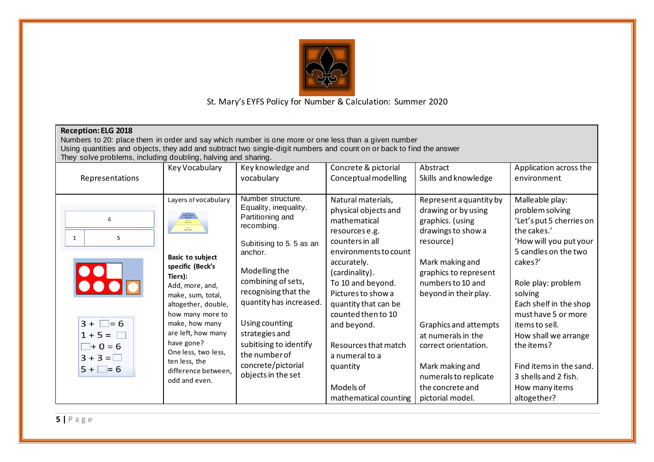

| <b>Reception: ELG 2018</b><br>Numbers to 20: place them in order and say which number is one more or one less than a given number<br>Using quantities and objects, they add and subtract two single-digit numbers and count on or back to find the answer<br>They solve problems, including doubling, halving and sharing. |                                                                                                                                                                                                                                                                                                                                                                                  |                                                                                                                                                                                                                                                                                                                                         |                                                                                                                                                                                                                                                                                                                                                               |                                                                                                                                                                                                                                                                                                                                                            |                                                                                                                                                                                                                                                                                                                                                                          |  |  |
|----------------------------------------------------------------------------------------------------------------------------------------------------------------------------------------------------------------------------------------------------------------------------------------------------------------------------|----------------------------------------------------------------------------------------------------------------------------------------------------------------------------------------------------------------------------------------------------------------------------------------------------------------------------------------------------------------------------------|-----------------------------------------------------------------------------------------------------------------------------------------------------------------------------------------------------------------------------------------------------------------------------------------------------------------------------------------|---------------------------------------------------------------------------------------------------------------------------------------------------------------------------------------------------------------------------------------------------------------------------------------------------------------------------------------------------------------|------------------------------------------------------------------------------------------------------------------------------------------------------------------------------------------------------------------------------------------------------------------------------------------------------------------------------------------------------------|--------------------------------------------------------------------------------------------------------------------------------------------------------------------------------------------------------------------------------------------------------------------------------------------------------------------------------------------------------------------------|--|--|
| Representations                                                                                                                                                                                                                                                                                                            | Key Vocabulary                                                                                                                                                                                                                                                                                                                                                                   | Key knowledge and<br>vocabulary                                                                                                                                                                                                                                                                                                         | Concrete & pictorial<br>Conceptual modelling                                                                                                                                                                                                                                                                                                                  | Abstract<br>Skills and knowledge                                                                                                                                                                                                                                                                                                                           | Application across the<br>environment                                                                                                                                                                                                                                                                                                                                    |  |  |
| 6<br>5<br>1<br>2<br>$3 + \Box = 6$<br>$1 + 5 =$<br>$\Box + 0 = 6$<br>$3 + 3 = \Box$<br>$5 + \square = 6$                                                                                                                                                                                                                   | Layers of vocabulary<br>$\frac{\text{Tr} \phi(\mathbf{Z})}{\text{Sensupint}}$<br>.<br>Baicamh<br><b>Basic to subject</b><br>specific (Beck's<br>Tiers):<br>Add, more, and,<br>make, sum, total,<br>altogether, double,<br>how many more to<br>make, how many<br>are left, how many<br>have gone?<br>One less, two less,<br>ten less, the<br>difference between,<br>odd and even. | Number structure.<br>Equality, inequality.<br>Partitioning and<br>recombing.<br>Subitising to 5.5 as an<br>anchor.<br>Modelling the<br>combining of sets,<br>recognising that the<br>quantity has increased.<br>Using counting<br>strategies and<br>subitising to identify<br>the number of<br>concrete/pictorial<br>objects in the set | Natural materials,<br>physical objects and<br>mathematical<br>resources e.g.<br>counters in all<br>environments to count<br>accurately.<br>(cardinality).<br>To 10 and beyond.<br>Pictures to show a<br>quantity that can be<br>counted then to 10<br>and beyond.<br>Resources that match<br>a numeral to a<br>quantity<br>Models of<br>mathematical counting | Represent a quantity by<br>drawing or by using<br>graphics. (using<br>drawings to show a<br>resource)<br>Mark making and<br>graphics to represent<br>numbers to 10 and<br>beyond in their play.<br>Graphics and attempts<br>at numerals in the<br>correct orientation.<br>Mark making and<br>numerals to replicate<br>the concrete and<br>pictorial model. | Malleable play:<br>problem solving<br>'Let's put 5 cherries on<br>the cakes.'<br>'How will you put your<br>5 candles on the two<br>cakes?'<br>Role play: problem<br>solving<br>Each shelf in the shop<br>must have 5 or more<br>items to sell.<br>How shall we arrange<br>the items?<br>Find items in the sand.<br>3 shells and 2 fish.<br>How many items<br>altogether? |  |  |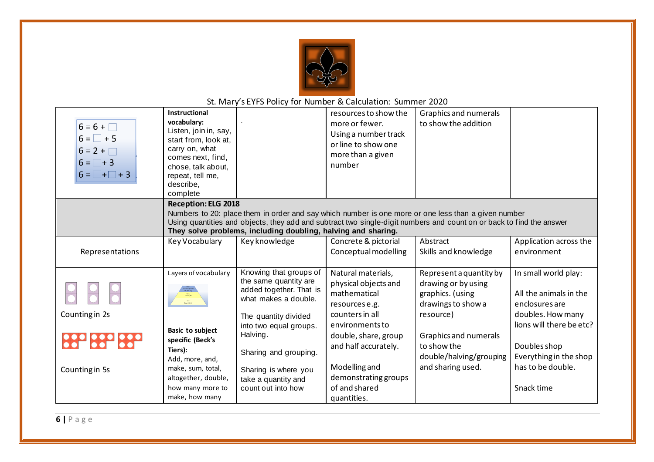

| $6 = 6 + \Box$<br>$6 = \Box + 5$<br>$6 = 2 + \Box$<br>$6 = \Box + 3$<br>$6 = \square + \square + 3$ | Instructional<br>vocabulary:<br>Listen, join in, say,<br>start from, look at,<br>carry on, what<br>comes next, find,<br>chose, talk about,<br>repeat, tell me,<br>describe,<br>complete                                                                                                                                    |                                                                                                    | resources to show the<br>more or fewer.<br>Using a number track<br>or line to show one<br>more than a given<br>number | Graphics and numerals<br>to show the addition                                            |                                                                    |  |  |
|-----------------------------------------------------------------------------------------------------|----------------------------------------------------------------------------------------------------------------------------------------------------------------------------------------------------------------------------------------------------------------------------------------------------------------------------|----------------------------------------------------------------------------------------------------|-----------------------------------------------------------------------------------------------------------------------|------------------------------------------------------------------------------------------|--------------------------------------------------------------------|--|--|
|                                                                                                     | <b>Reception: ELG 2018</b><br>Numbers to 20: place them in order and say which number is one more or one less than a given number<br>Using quantities and objects, they add and subtract two single-digit numbers and count on or back to find the answer<br>They solve problems, including doubling, halving and sharing. |                                                                                                    |                                                                                                                       |                                                                                          |                                                                    |  |  |
|                                                                                                     | Key Vocabulary                                                                                                                                                                                                                                                                                                             | Key knowledge                                                                                      | Concrete & pictorial                                                                                                  | Abstract                                                                                 | Application across the                                             |  |  |
| Representations                                                                                     |                                                                                                                                                                                                                                                                                                                            |                                                                                                    | Conceptual modelling                                                                                                  | Skills and knowledge                                                                     | environment                                                        |  |  |
|                                                                                                     | Layers of vocabulary<br>The 2<br>Senatents                                                                                                                                                                                                                                                                                 | Knowing that groups of<br>the same quantity are<br>added together. That is<br>what makes a double. | Natural materials,<br>physical objects and<br>mathematical<br>resources e.g.                                          | Represent a quantity by<br>drawing or by using<br>graphics. (using<br>drawings to show a | In small world play:<br>All the animals in the<br>enclosures are   |  |  |
| Counting in 2s                                                                                      |                                                                                                                                                                                                                                                                                                                            | The quantity divided                                                                               | counters in all                                                                                                       | resource)                                                                                | doubles. How many                                                  |  |  |
| 888 888 888                                                                                         | Basic to subject<br>specific (Beck's<br>Tiers):<br>Add, more, and,                                                                                                                                                                                                                                                         | into two equal groups.<br>Halving.<br>Sharing and grouping.                                        | environments to<br>double, share, group<br>and half accurately.                                                       | <b>Graphics and numerals</b><br>to show the<br>double/halving/grouping                   | lions will there be etc?<br>Doubles shop<br>Everything in the shop |  |  |
| Counting in 5s                                                                                      | make, sum, total,<br>altogether, double,<br>how many more to<br>make, how many                                                                                                                                                                                                                                             | Sharing is where you<br>take a quantity and<br>count out into how                                  | Modelling and<br>demonstrating groups<br>of and shared<br>quantities.                                                 | and sharing used.                                                                        | has to be double.<br>Snack time                                    |  |  |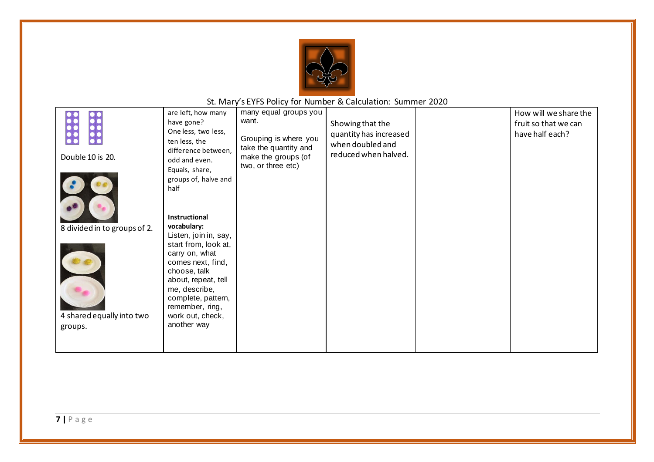

|                              | are left, how many    | many equal groups you |                        | How will we share the |
|------------------------------|-----------------------|-----------------------|------------------------|-----------------------|
|                              | have gone?            | want.                 | Showing that the       | fruit so that we can  |
|                              | One less, two less,   |                       | quantity has increased | have half each?       |
|                              | ten less, the         | Grouping is where you | when doubled and       |                       |
|                              | difference between,   | take the quantity and | reduced when halved.   |                       |
| Double 10 is 20.             | odd and even.         | make the groups (of   |                        |                       |
|                              | Equals, share,        | two, or three etc)    |                        |                       |
|                              | groups of, halve and  |                       |                        |                       |
|                              | half                  |                       |                        |                       |
|                              |                       |                       |                        |                       |
|                              |                       |                       |                        |                       |
|                              |                       |                       |                        |                       |
|                              | Instructional         |                       |                        |                       |
| 8 divided in to groups of 2. | vocabulary:           |                       |                        |                       |
|                              | Listen, join in, say, |                       |                        |                       |
|                              | start from, look at,  |                       |                        |                       |
|                              | carry on, what        |                       |                        |                       |
|                              | comes next, find,     |                       |                        |                       |
|                              | choose, talk          |                       |                        |                       |
|                              | about, repeat, tell   |                       |                        |                       |
|                              | me, describe,         |                       |                        |                       |
|                              | complete, pattern,    |                       |                        |                       |
|                              | remember, ring,       |                       |                        |                       |
| 4 shared equally into two    | work out, check,      |                       |                        |                       |
| groups.                      | another way           |                       |                        |                       |
|                              |                       |                       |                        |                       |
|                              |                       |                       |                        |                       |
|                              |                       |                       |                        |                       |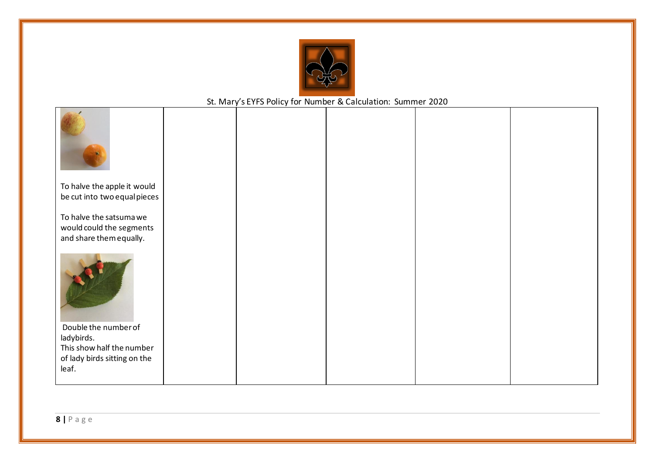